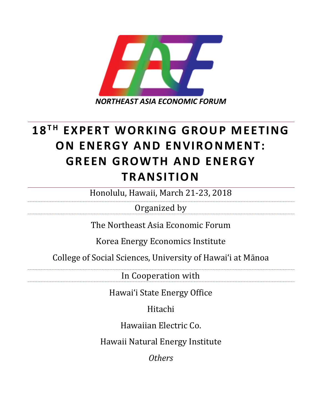

# **18T H EXPERT WORKING GROUP MEETING ON ENERGY AND ENVIRONMENT: GREEN GROWTH AND ENERGY TRANSITION**

Honolulu, Hawaii, March 21-23, 2018

Organized by

The Northeast Asia Economic Forum

Korea Energy Economics Institute

College of Social Sciences, University of Hawai'i at Mānoa

In Cooperation with

Hawai'i State Energy Office

Hitachi

Hawaiian Electric Co.

Hawaii Natural Energy Institute

*Others*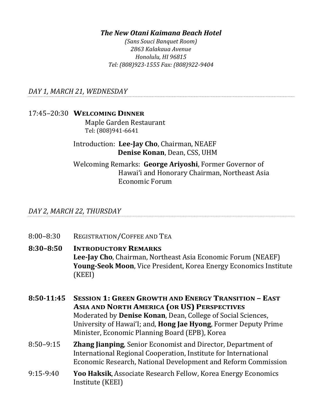## *The New Otani Kaimana Beach Hotel*

*(Sans Souci Banquet Room) 2863 Kalakaua Avenue Honolulu, HI 96815 Tel: (808)923-1555 Fax: (808)922-9404*

*DAY 1, MARCH 21, WEDNESDAY*

## 17:45–20:30 **WELCOMING DINNER**

Maple Garden Restaurant Tel: (808)941-6641

# Introduction: **Lee-Jay Cho**, Chairman, NEAEF  **Denise Konan**, Dean, CSS, UHM

Welcoming Remarks: **George Ariyoshi**, Former Governor of Hawai'i and Honorary Chairman, Northeast Asia Economic Forum

#### *DAY 2, MARCH 22, THURSDAY*

8:00–8:30 REGISTRATION/COFFEE AND TEA

## **8:30–8:50 INTRODUCTORY REMARKS Lee-Jay Cho**, Chairman, Northeast Asia Economic Forum (NEAEF) **Young-Seok Moon**, Vice President, Korea Energy Economics Institute (KEEI)

- **8:50-11:45 SESSION 1: GREEN GROWTH AND ENERGY TRANSITION – EAST ASIA AND NORTH AMERICA (OR US) PERSPECTIVES** Moderated by **Denise Konan**, Dean, College of Social Sciences, University of Hawai'I; and, **Hong Jae Hyong**, Former Deputy Prime Minister, Economic Planning Board (EPB), Korea
- 8:50–9:15 **Zhang Jianping**, Senior Economist and Director, Department of International Regional Cooperation, Institute for International Economic Research, National Development and Reform Commission
- 9:15-9:40 **Yoo Haksik**, Associate Research Fellow, Korea Energy Economics Institute (KEEI)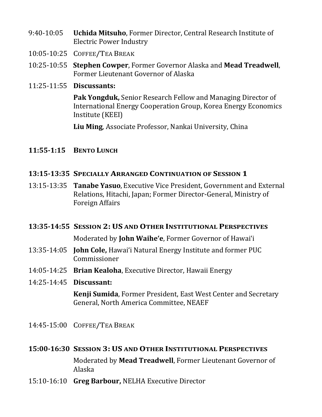- 9:40-10:05 **Uchida Mitsuho**, Former Director, Central Research Institute of Electric Power Industry
- 10:05-10:25 COFFEE/TEA BREAK
- 10:25-10:55 **Stephen Cowper**, Former Governor Alaska and **Mead Treadwell**, Former Lieutenant Governor of Alaska
- 11:25-11:55 **Discussants:**

**Pak Yongduk,** Senior Research Fellow and Managing Director of International Energy Cooperation Group, Korea Energy Economics Institute (KEEI)

**Liu Ming**, Associate Professor, Nankai University, China

## **11:55-1:15 BENTO LUNCH**

- **13:15-13:35 SPECIALLY ARRANGED CONTINUATION OF SESSION 1**
- 13:15-13:35 **Tanabe Yasuo**, Executive Vice President, Government and External Relations, Hitachi, Japan; Former Director-General, Ministry of Foreign Affairs

#### **13:35-14:55 SESSION 2:US AND OTHER INSTITUTIONAL PERSPECTIVES**

Moderated by **John Waihe'e**, Former Governor of Hawai'i

- 13:35-14:05 **John Cole,** Hawai'i Natural Energy Institute and former PUC Commissioner
- 14:05-14:25 **Brian Kealoha**, Executive Director, Hawaii Energy
- 14:25-14:45 **Discussant:**

**Kenji Sumida**, Former President, East West Center and Secretary General, North America Committee, NEAEF

14:45-15:00 COFFEE/TEA BREAK

#### **15:00-16:30 SESSION 3:US AND OTHER INSTITUTIONAL PERSPECTIVES**

Moderated by **Mead Treadwell**, Former Lieutenant Governor of Alaska

15:10-16:10 **Greg Barbour,** NELHA Executive Director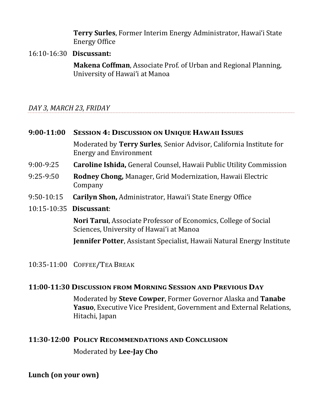**Terry Surles**, Former Interim Energy Administrator, Hawai'i State Energy Office

#### 16:10-16:30 **Discussant:**

**Makena Coffman**, Associate Prof. of Urban and Regional Planning, University of Hawai'i at Manoa

# *DAY 3, MARCH 23, FRIDAY*

| $9:00-11:00$            | <b>SESSION 4: DISCUSSION ON UNIQUE HAWAII ISSUES</b>                                                               |
|-------------------------|--------------------------------------------------------------------------------------------------------------------|
|                         | Moderated by Terry Surles, Senior Advisor, California Institute for<br><b>Energy and Environment</b>               |
| $9:00-9:25$             | <b>Caroline Ishida, General Counsel, Hawaii Public Utility Commission</b>                                          |
| $9:25-9:50$             | <b>Rodney Chong, Manager, Grid Modernization, Hawaii Electric</b><br>Company                                       |
| $9:50-10:15$            | <b>Carilyn Shon, Administrator, Hawai'i State Energy Office</b>                                                    |
| 10:15-10:35 Discussant: |                                                                                                                    |
|                         | <b>Nori Tarui, Associate Professor of Economics, College of Social</b><br>Sciences, University of Hawai'i at Manoa |
|                         | <b>Jennifer Potter, Assistant Specialist, Hawaii Natural Energy Institute</b>                                      |
|                         | 10:35-11:00 COFFEE/TEA BREAK                                                                                       |

#### **11:00-11:30 DISCUSSION FROM MORNING SESSION AND PREVIOUS DAY**

Moderated by **Steve Cowper**, Former Governor Alaska and **Tanabe Yasuo**, Executive Vice President, Government and External Relations, Hitachi, Japan

#### **11:30-12:00 POLICY RECOMMENDATIONS AND CONCLUSION**

Moderated by **Lee-Jay Cho**

# **Lunch (on your own)**